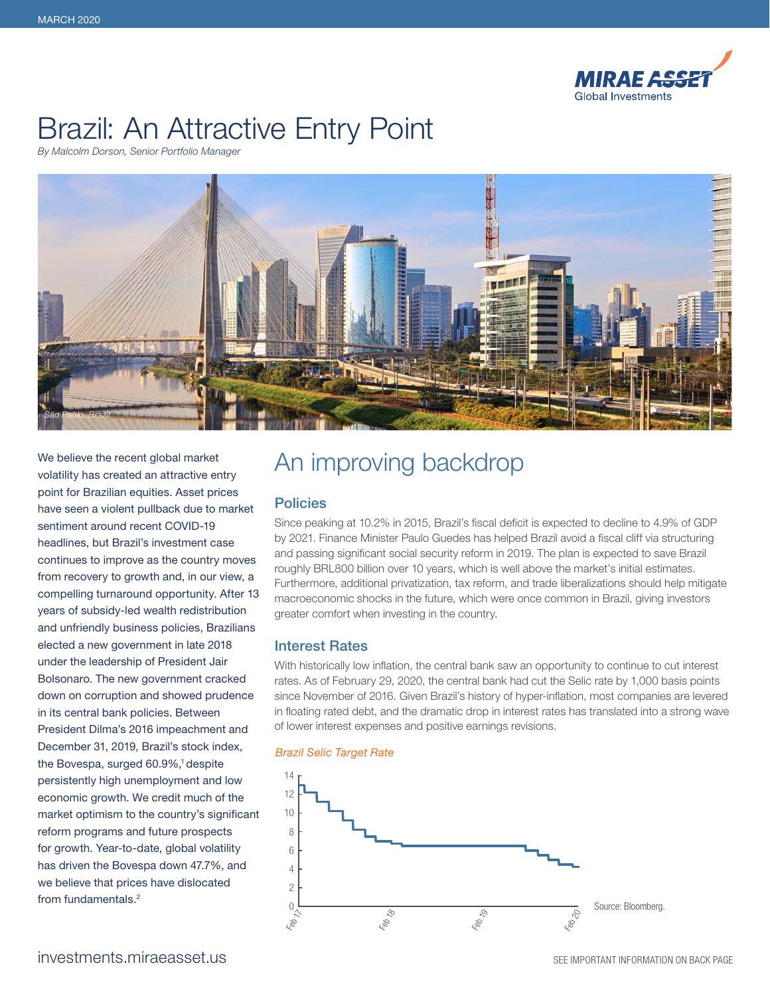

# Brazil: An Attractive Entry Point

*By Malcolm Dorson, Senior Portfolio Manager*



We believe the recent global market volatility has created an attractive entry point for Brazilian equities. Asset prices have seen a violent pullback due to market sentiment around recent COVID-19 headlines, but Brazil's investment case continues to improve as the country moves from recovery to growth and, in our view, a compelling turnaround opportunity. After 13 years of subsidy-led wealth redistribution and unfriendly business policies, Brazilians elected a new government in late 2018 under the leadership of President Jair Bolsonaro. The new government cracked down on corruption and showed prudence in its central bank policies. Between President Dilma's 2016 impeachment and December 31, 2019, Brazil's stock index, the Bovespa, surged 60.9%,<sup>1</sup> despite persistently high unemployment and low economic growth. We credit much of the market optimism to the country's significant reform programs and future prospects for growth. Year-to-date, global volatility has driven the Bovespa down 47.7%, and we believe that prices have dislocated from fundamentals.2

# An improving backdrop

## **Policies**

Since peaking at 10.2% in 2015, Brazil's fiscal deficit is expected to decline to 4.9% of GDP by 2021. Finance Minister Paulo Guedes has helped Brazil avoid a fiscal cliff via structuring and passing significant social security reform in 2019. The plan is expected to save Brazil roughly BRL800 billion over 10 years, which is well above the market's initial estimates. Furthermore, additional privatization, tax reform, and trade liberalizations should help mitigate macroeconomic shocks in the future, which were once common in Brazil, giving investors greater comfort when investing in the country.

## Interest Rates

With historically low inflation, the central bank saw an opportunity to continue to cut interest rates. As of February 29, 2020, the central bank had cut the Selic rate by 1,000 basis points since November of 2016. Given Brazil's history of hyper-inflation, most companies are levered in floating rated debt, and the dramatic drop in interest rates has translated into a strong wave of lower interest expenses and positive earnings revisions.



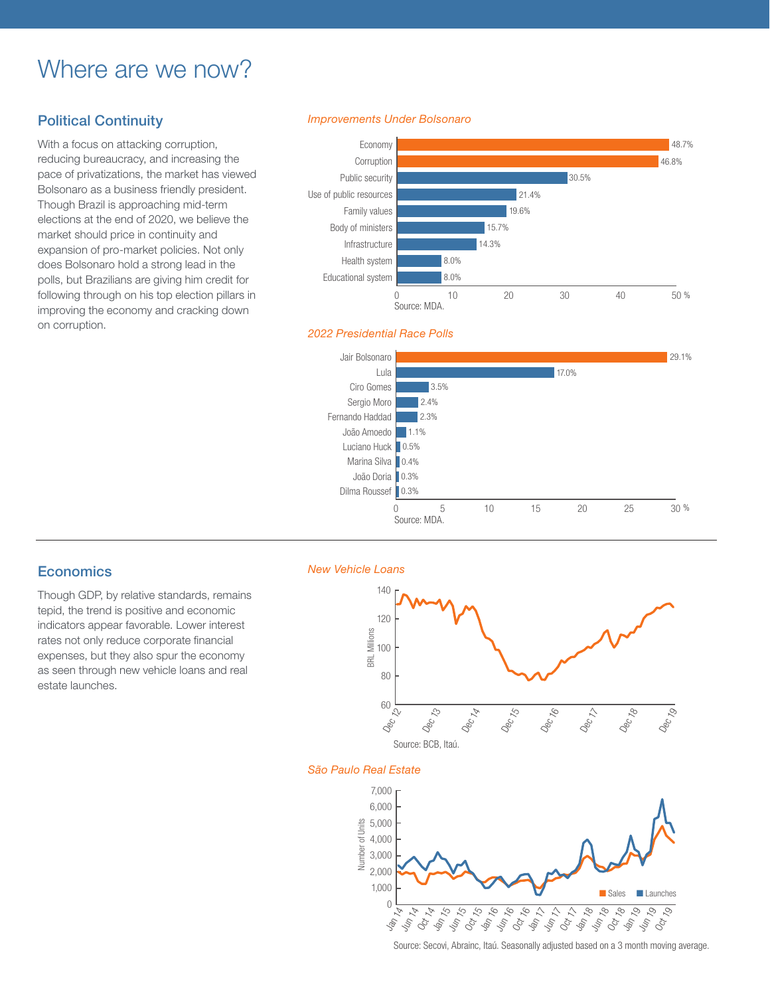# Where are we now?

# Political Continuity

With a focus on attacking corruption, reducing bureaucracy, and increasing the pace of privatizations, the market has viewed Bolsonaro as a business friendly president. Though Brazil is approaching mid-term elections at the end of 2020, we believe the market should price in continuity and expansion of pro-market policies. Not only does Bolsonaro hold a strong lead in the polls, but Brazilians are giving him credit for following through on his top election pillars in improving the economy and cracking down on corruption.

### *Improvements Under Bolsonaro*



### *2022 Presidential Race Polls*



## **Economics**

Though GDP, by relative standards, remains tepid, the trend is positive and economic indicators appear favorable. Lower interest rates not only reduce corporate financial expenses, but they also spur the economy as seen through new vehicle loans and real estate launches.

#### *New Vehicle Loans*



#### *São Paulo Real Estate*



Source: Secovi, Abrainc, Itaú. Seasonally adjusted based on a 3 month moving average.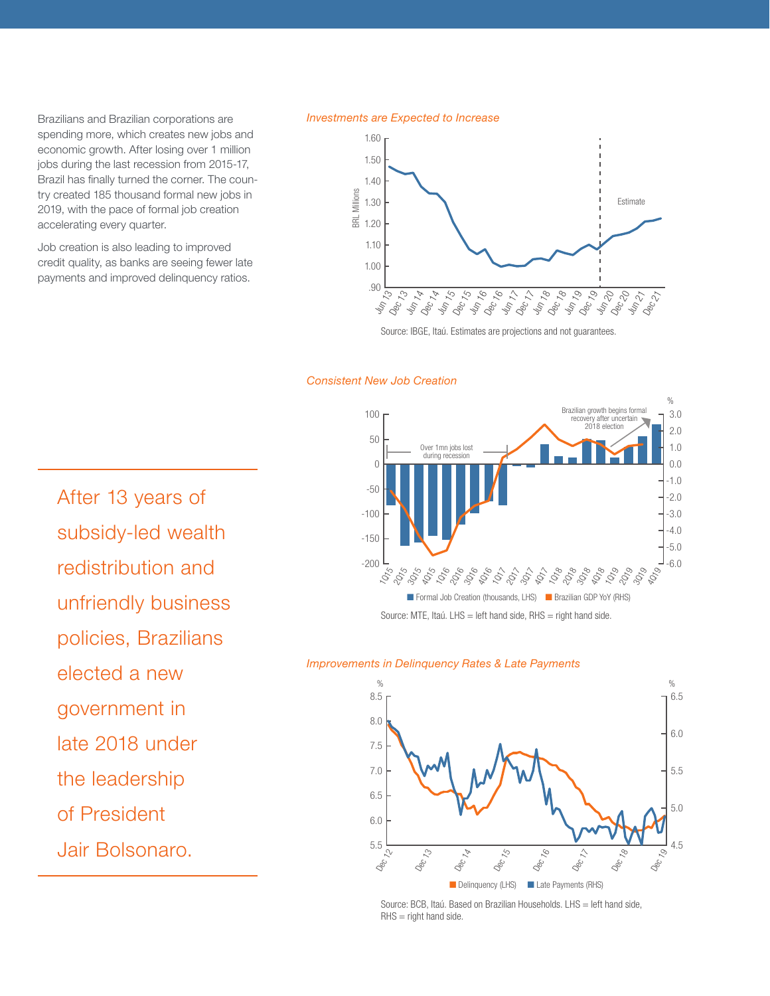Brazilians and Brazilian corporations are spending more, which creates new jobs and economic growth. After losing over 1 million jobs during the last recession from 2015-17, Brazil has finally turned the corner. The country created 185 thousand formal new jobs in 2019, with the pace of formal job creation accelerating every quarter.

Job creation is also leading to improved credit quality, as banks are seeing fewer late payments and improved delinquency ratios.

#### *Investments are Expected to Increase*



Source: IBGE, Itaú. Estimates are projections and not guarantees.

### *Consistent New Job Creation*



### *Improvements in Delinquency Rates & Late Payments*



Source: BCB, Itaú. Based on Brazilian Households. LHS = left hand side,  $R$ HS = right hand side.

After 13 years of subsidy-led wealth redistribution and unfriendly business policies, Brazilians elected a new government in late 2018 under the leadership of President Jair Bolsonaro.